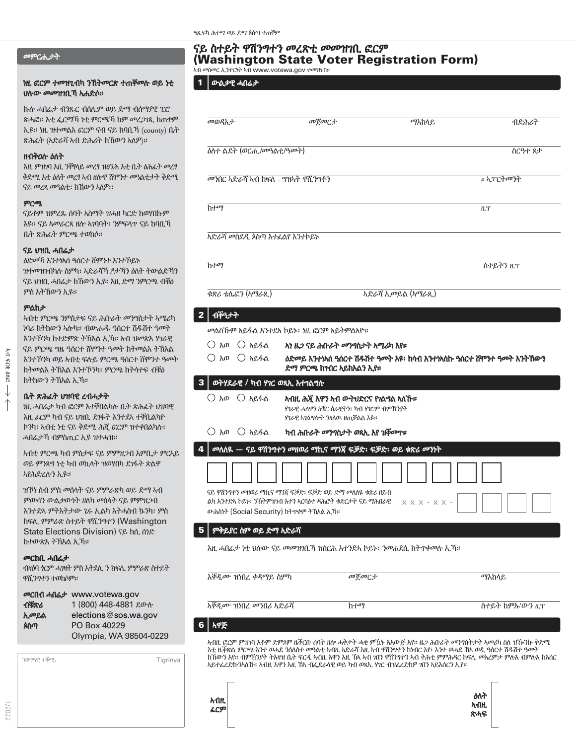# መምርሒታት

#### ነዚ ፎርም ተመዝጊብካ ንኽትመርጽ ተጠቐመሉ ወይ ነቲ ሀሉው መመዝገቢኻ ኣሐድሶ።

ኩሉ ሓበሬታ ብንጹር ብሰሊም ወይ ድማ ብሰማያዊ ፒሮ ጽሓፎ። እቲ ፌርማኻ ነቲ ምርጫኻ ከም መረጋገጺ ክጠቀም ኢዩ። ነዚ ዝተመልአ ፎርም ናብ ናይ ከባቢኻ (county) ቤት ጽሕፈት (ኣድራሻ ኣብ ድሕሪት ክኸውን ኣለዎ)።

#### ዘብቅዐሉ ዕለት

እዚ ምዝገባ እዚ ንቐፃላይ መረፃ ዝፀንሕ እቲ ቤት ፅሕፈት መረፃ ቅድሚ እቲ ዕለት መረፃ ኣብ ዘሎዋ ሸሞንተ መዓልቲታት ቅድሚ ናይ መረጻ መዓልቲ፡ ክኸውን ኣለዎ፡፡

#### ምርጫ

ናይቶም ዝምረጹ ሰባት ኣስማት ዝሓዘ ካርድ ክወሃበኩም እዩ። ናይ ኣመራርጻ ዘሎ ኣገባባት፡ ንምፍላጥ ናይ ከባቢኻ ቤት ጽሕፈት ምርጫ ተወከሶ።

## ናይ ህዝቢ ሓበሬታ

ዕድመኻ እንተነኣሰ ዓሰርተ ሸሞንተ እንተኾይኑ ዝተመዝገብካሉ ስምካ፣ ኣድራሻኻ ፆታኻን ዕለት ትውልድኻን ናይ ህዝቢ ሓበሬታ ክኸውን ኢዩ፡ እዚ ድማ ንምርጫ ብቑዕ ምስ እትኸውን ኢዩ።

## ምልክታ

ኣብ ፍርቂ ዕጸፎ

JЧ  $423$ **DRG**  $\downarrow$  ኣብቲ ምርጫ ንምስታፍ ናይ ሕቡራት መንግስታት ኣሜሪካ ነባሪ ክትከውን ኣሎካ። ብውሑዱ ዓሰርተ ሽዱሽተ ዓመት እንተኾንካ ከተድምጽ ትኽእል ኢኻ። ኣብ ዝመጽእ ሃገራዊ ናይ ምርጫ ግዜ ዓሰርተ ሸሞንተ ዓመት ክትመልእ ትኽእል እንተኾንካ ወይ ኣብቲ ፍሉይ ምርጫ ዓሰርተ ሸሞንተ ዓመት ክትመልእ ትኽእል እንተኾንካ፡ ምርጫ ክትሳተፍ ብቑዕ ክትከውን ትኽእል ኢኻ።

# ቤት ጽሕፈት ህዝባዊ ረብሓታት

ነዚ ሓበሬታ ካብ ፎርም እተቐበልካሉ ቤት ጽሕፈት ህዝባዊ እዚ ፊርም ካብ ናይ ህዝቢ ደገፋት እንተደኣ ተቐቢልካዮ ኮንካ፡ ኣብቲ ነቲ ናይ ቅድሚ ሕጂ ፎርም ዝተቀበልካሉ፡ ሓበሬታኻ ብምስጢር ኢዩ ዝተሓዝ።

ኣብቲ ምርጫ ካብ ምስታፍ ናይ ምምዝጋብ እምቢታ ምርኣይ ወይ ምንጻግ ነቲ ካብ ወኪላት ዝወሃበካ ደገፋት ጽልዋ ኣየሕድረሉን ኢዩ።

ዝኾነ ሰብ ምስ መሰላት ናይ ምምራጽካ ወይ ድማ ኣብ ምውሳን ውልቃውነት ዘለካ መሰላት ናይ ምምዝጋብ እንተድኣ ምትእትታው ጌሩ ኢልካ እትሓስብ ኴንካ፡ ምስ ክፍሊ ምምራጽ ስተይት ዋሺንግተን (Washington State Elections Division) ናይ ክሲ ሰነድ ከተውጽእ ትኽእል ኢኻ።

#### መርከቢ ሓበሬታ

1/2022

ብዛዕባ ጎርም ሓገዛት ምስ እትደሊ ን ክፍሊ ምምራጽ ስተይት ዋሺንግተን ተወከሶም።

|      | መርበብ ሓበሬታ www.votewa.gov |  |
|------|--------------------------|--|
| ብቹጽሪ | 1 (800) 448-4881 ደውሱ     |  |
| ኢመይል | elections@sos.wa.gov     |  |
| ጰስጣ  | PO Box 40229             |  |
|      | Olympia, WA 98504-0229   |  |

| $70999$ $759$ . | Tigrinya |
|-----------------|----------|
|                 |          |
|                 |          |
|                 |          |
|                 |          |

## ናይ ስተይት ዋሽንግተን መረጽቲ መመዝገቢ ፎርም (Washington State Voter Registration Form) ኣብ መስመር ኢንተርነት ኣብ www.votewa.gov ተመዝገብ።

 $1 \vert x \rangle$ ውልቃዊ ሓበሬታ

L

L

ı

| መወዳእታ                                                       | መጀመርታ                                                                                                     | ማእከላይ                                                          | ብድሕሪት     |
|-------------------------------------------------------------|-----------------------------------------------------------------------------------------------------------|----------------------------------------------------------------|-----------|
| ዕለተ ልደት (ወር <i>ሒ/መዓ</i> ልቲ/ዓመት)                             |                                                                                                           |                                                                | ስርዓተ ጾታ   |
| <i>መን</i> በር ኢድራሻ አብ ክፍለ - <i>ግ</i> ዝኣት ዋሺ <i>ንግቶን</i>      |                                                                                                           |                                                                | # አፓርትመንት |
| ከተማ                                                         |                                                                                                           |                                                                | H.T       |
| አድራሻ መስደዲ ጶስጣ እተፈልየ እንተኮይኑ                                  |                                                                                                           |                                                                |           |
| ከተማ                                                         |                                                                                                           |                                                                | ስተይትን ዚፕ  |
| ቁጽሪ ቴሌፎን (አማራጺ)                                             |                                                                                                           | አድራሻ ኢመይል (አማራጺ)                                               |           |
| ብቐዓታት                                                       |                                                                                                           |                                                                |           |
|                                                             | መልስኸም ኣይፋል እንተደላ ኮይኑ፡ ነዚ ፎርም ኣይትምልኣዮ።                                                                     |                                                                |           |
| $O$ $h$ <sub><i>a</i></sub> $O$ $h$ <sup>24</sup> $\Lambda$ | እነ ዜጋ ናይ ሕቡራት መንግስታት አሜሪካ እየ።                                                                             |                                                                |           |
| $O$ $h$ $\omega$ $O$ $h$ $g$ $4 \Delta$                     | ድማ ምርጫ ከንበር ኣይከእልን ኢየ።                                                                                    | ዕድመይ እንተነኣስ ዓሰርተ ሽዱሽተ ዓመት እዩ፡ ከሳብ እንተነኣስኩ ዓሰርተ ሸሞንተ ዓመት እንትኸውን |           |
| ወትሃደራዊ / ካብ ሃገር ወጻኢ እተገልግሎ                                  |                                                                                                           |                                                                |           |
| $O$ $\lambda$ ወ $O$ $\lambda$ ይፋል                           | አብዚ ሕጀ እዋን አብ ወትህድርና የገልግል አለኹ።<br>ሃገራዊ ሓለዋን ዕቹር ሰራዊትን፡ ካብ ሃገሮም ብምኸንያት<br>ሃገራዊ አገልግሎት ንዘለዉ ዘጠቓልል እዩ።      |                                                                |           |
| $\bigcirc$ λω<br>$O$ <i>h</i> esh                           | ካብ ሕቡራት <i>መንግ</i> ስታት ወጻኢ እየ ዝቅመጥ።                                                                       |                                                                |           |
|                                                             | መለለዪ — ናይ ዋሽንግተን መዘወሪ ማኪና ማንጃ ፍቓድ፡ ፍቓድ፡ ወይ ቁጽሪ መንነት                                                       |                                                                |           |
|                                                             |                                                                                                           |                                                                |           |
| ውሕስነት (Social Security) ክትጥቀም ትኽእል ኢኻ።                      | ናይ ዋሽንግተን መዘወሪ ማኪና ማንጃ ፍቓድ፡ ፍቓድ ወይ ድማ መለለዪ ቁጽሪ ዘይብ<br>ልካ እንተድኣ ኮይኑ፡ ንኸትምነተብ እተን አርባዕተ ዳሕሮት ቁጽርታት ናይ ማሕበራዊ | $X$ $X$ $X$ - $X$ $X$ -                                        |           |
| ምቅይያር ስም ወይ ድማ ኣድራሻ                                         |                                                                                                           |                                                                |           |
|                                                             | እዚ ሓበሬታ ነቲ ሀሉው ናይ መመዝነቢኘ ዝሰርሕ እተንድኣ ኮይኑ፡ ንመሐደሲ ከትጥቀመሉ ኢኻ።                                                 |                                                                |           |

| عصيا                |       |                |
|---------------------|-------|----------------|
| አቐዲሙ ዝነበረ መንበሪ አድራሻ | ከተማ   | ስተይት ከምኡ'ውን ዚፕ |
|                     |       |                |
| እቐዲሙ ዝነበረ ቀዳማይ ስምካ  | መጀመርታ | ማእከላይ          |
|                     |       |                |

# 6 ኣዋጅ

ኣብዚ ፎርም ምዝገባ እቶም ድምጾም ዜቕርቡ ሰባት ዘሎ ሓቅታት ሓቂ ምዃኑ እእውጅ እየ። ዜጋ ሕቡራት መንግስትታት ኣመሪካ ስለ ዝዀንኩ ቅድሚ እቲ ዚቕጽል ምርጫ እንተ ወሓደ ንሰለስተ መዓልቲ ኣብዚ ኣድራሻ እዚ ኣብ ዋሽንግተን ክነብር እየ፣ እንተ ወሓደ ኸኣ ወዲ ዓሰርተ ሽዱሽተ ዓመት ክኸውን እየ። ብምኽንያት ትእዛዝ ቤት ፍርዲ ኣብዚ እዋን እዚ ኸኣ ኣብ ገበን ዋሽንግተን ኣብ ትሕቲ ምምሕዳር ክፍሊ መአረምታ ምሉእ ብምሉእ ክእሰር ኣይተፈረድኩንኣለኹ፡ ኣብዚ እዋን እዚ ኸኣ ብፌደራላዊ ወይ ካብ ወጻኢ ሃገር ብዝፈረድክዎ ገበን ኣይእሰርን ኢየ።

> ዕለት ኣብዚ ጽሓፍ

| አብዚ |
|-----|
| ሬርም |
|     |